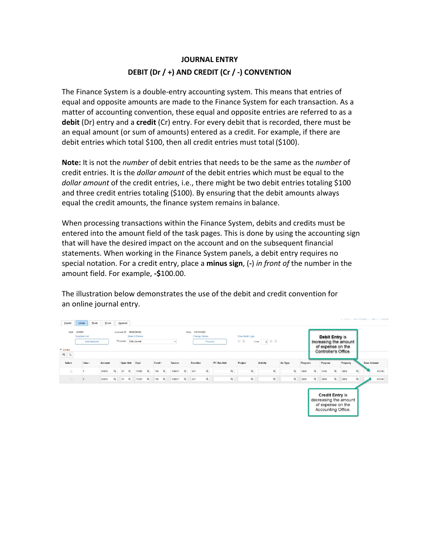## **JOURNAL ENTRY DEBIT (Dr / +) AND CREDIT (Cr / -) CONVENTION**

The Finance System is a double-entry accounting system. This means that entries of equal and opposite amounts are made to the Finance System for each transaction. As a matter of accounting convention, these equal and opposite entries are referred to as a **debit** (Dr) entry and a **credit** (Cr) entry. For every debit that is recorded, there must be an equal amount (or sum of amounts) entered as a credit. For example, if there are debit entries which total \$100, then all credit entries must total (\$100).

**Note:** It is not the *number* of debit entries that needs to be the same as the *number* of credit entries. It is the *dollar amount* of the debit entries which must be equal to the *dollar amount* of the credit entries, i.e., there might be two debit entries totaling \$100 and three credit entries totaling (\$100). By ensuring that the debit amounts always equal the credit amounts, the finance system remains in balance.

When processing transactions within the Finance System, debits and credits must be entered into the amount field of the task pages. This is done by using the accounting sign that will have the desired impact on the account and on the subsequent financial statements. When working in the Finance System panels, a debit entry requires no special notation. For a credit entry, place a **minus sign**, (**-**) *in front of* the number in the amount field. For example, **-\$**100.00.

The illustration below demonstrates the use of the debit and credit convention for an online journal entry.